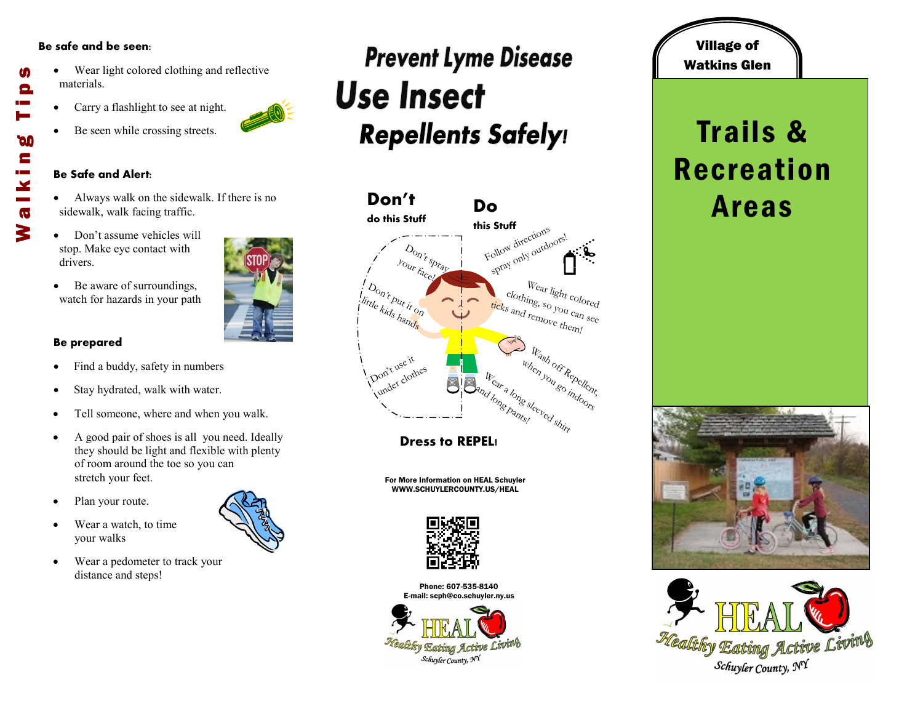#### **Be safe and be seen:**

- Wear light colored clothing and reflective materials.
- Carry a flashlight to see at night.
- Be seen while crossing streets.

#### **Be Safe and Alert:**

- Always walk on the sidewalk. If there is no sidewalk, walk facing traffic.
- Don't assume vehicles will stop. Make eye contact with drivers.
- Be aware of surroundings, watch for hazards in your path

### **Be prepared**

- Find a buddy, safety in numbers
- Stay hydrated, walk with water.
- Tell someone, where and when you walk.
- A good pair of shoes is all you need. Ideally they should be light and flexible with plenty of room around the toe so you can stretch your feet.
- Plan your route.
- Wear a watch, to time your walks
- Wear a pedometer to track your distance and steps!

## **Prevent Lyme Disease Use Insect Repellents Safely!**



**Dress to REPEL!**

For More Information on HEAL Schuyler WWW.SCHUYLERCOUNTY.US/HEAL



Phone: 607-535-8140 E-mail: scph@co.schuyler.ny.us



### Village of Watkins Glen

### Trails & Recreation Areas









M

Θ

**DO** E